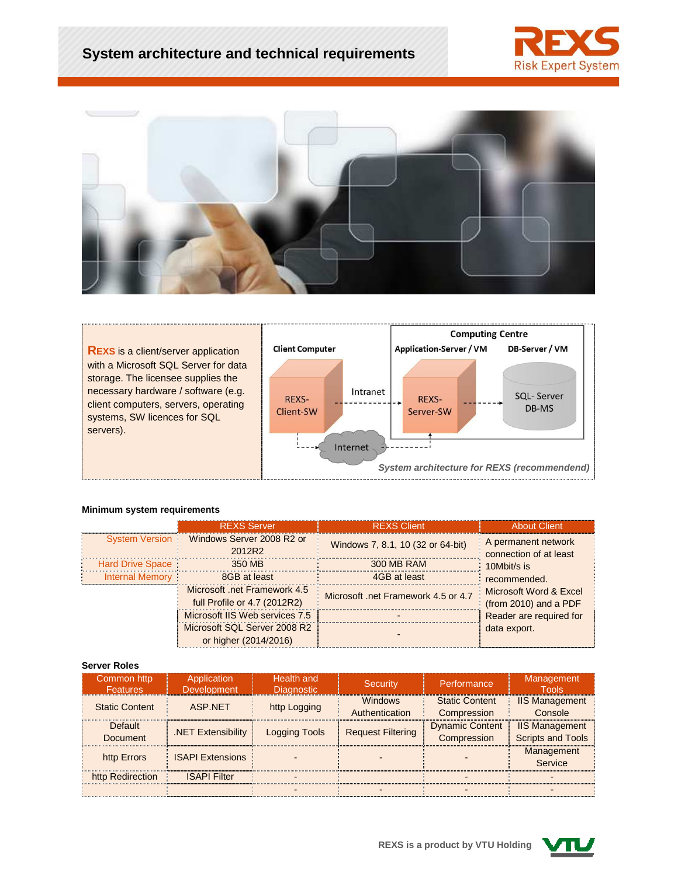





#### **Minimum system requirements**

|                         | <b>REXS Server</b>                                           | <b>REXS Client</b>                  | <b>About Client</b>                             |  |
|-------------------------|--------------------------------------------------------------|-------------------------------------|-------------------------------------------------|--|
|                         | System Version Windows Server 2008 R2 or<br>2012R2           | Windows 7, 8.1, 10 (32 or 64-bit)   | A permanent network<br>connection of at least   |  |
| <b>Hard Drive Space</b> | 350 MB                                                       | 300 MB RAM                          | 10Mbit/s is                                     |  |
| <b>Internal Memory</b>  | 8GB at least                                                 | 4GB at least                        | recommended.                                    |  |
|                         | Microsoft .net Framework 4.5<br>full Profile or 4.7 (2012R2) | Microsoft, net Framework 4.5 or 4.7 | Microsoft Word & Excel<br>(from 2010) and a PDF |  |
|                         | Microsoft IIS Web services 7.5                               |                                     | Reader are required for                         |  |
|                         | Microsoft SQL Server 2008 R2<br>or higher (2014/2016)        |                                     | data export.                                    |  |

#### **Server Roles**

| Common http<br><b>Features</b> | Application<br><b>Development</b> | Health and<br><b>Diagnostic</b> | <b>Security</b>                  | Performance                           | Management<br><b>Tools</b>                        |
|--------------------------------|-----------------------------------|---------------------------------|----------------------------------|---------------------------------------|---------------------------------------------------|
| <b>Static Content</b>          | ASP.NFT                           | http Logging                    | <b>Windows</b><br>Authentication | <b>Static Content</b><br>Compression  | <b>IIS Management</b><br>Console                  |
| Default<br><b>Document</b>     | .NET Extensibility                | <b>Logging Tools</b>            | <b>Request Filtering</b>         | <b>Dynamic Content</b><br>Compression | <b>IIS Management</b><br><b>Scripts and Tools</b> |
| http Errors                    | <b>ISAPI Extensions</b>           |                                 |                                  |                                       | Management<br>Service                             |
| http Redirection               | <b>ISAPI Filter</b>               |                                 |                                  |                                       |                                                   |
|                                |                                   |                                 |                                  |                                       |                                                   |